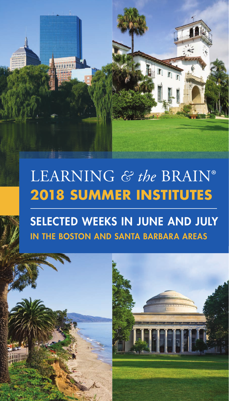# LEARNING *& the* BRAIN® **2018 SUMMER INSTITUTES**

# SELECTED WEEKS IN JUNE AND JULY IN THE BOSTON AND SANTA BARBARA AREAS

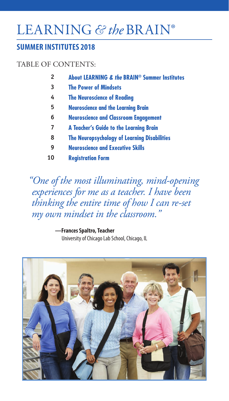# LEARNING *& the* BRAIN®

### **SUMMER INSTITUTES 2018**

### TABLE OF CONTENTS:

- **About LEARNING** *& the* **BRAIN® Summer Institutes 2**
- **The Power of Mindsets 3**
- **The Neuroscience of Reading 4**
- **Neuroscience and the Learning Brain 5**
- **Neuroscience and Classroom Engagement 6**
- **A Teacher's Guide to the Learning Brain 7**
- **The Neuropsychology of Learning Disabilities 8**
- **Neuroscience and Executive Skills 9**
- **Registration Form 10**

*"One of the most illuminating, mind-opening experiences for me as a teacher. I have been thinking the entire time of how I can re-set my own mindset in the classroom."*

> **—Frances Spaltro, Teacher** University of Chicago Lab School, Chicago, IL

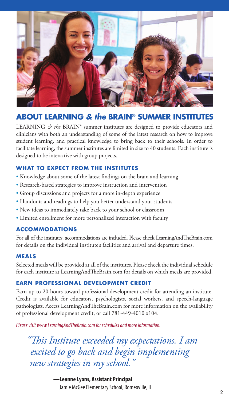

### **ABOUT LEARNING** *& the* **BRAIN® SUMMER INSTITUTES**

LEARNING  $\acute{\sigma}$  the BRAIN<sup>®</sup> summer institutes are designed to provide educators and clinicians with both an understanding of some of the latest research on how to improve student learning, and practical knowledge to bring back to their schools. In order to facilitate learning, the summer institutes are limited in size to 40 students. Each institute is designed to be interactive with group projects.

### **WHAT TO EXPECT FROM THE INSTITUTES**

- Knowledge about some of the latest findings on the brain and learning
- Research-based strategies to improve instruction and intervention
- Group discussions and projects for a more in-depth experience
- Handouts and readings to help you better understand your students
- New ideas to immediately take back to your school or classroom
- Limited enrollment for more personalized interaction with faculty

### **ACCOMMODATIONS**

For all of the institutes, accommodations are included. Please check LearningAndTheBrain.com for details on the individual institute's facilities and arrival and departure times.

### **MEALS**

Selected meals will be provided at all of the institutes. Please check the individual schedule for each institute at LearningAndTheBrain.com for details on which meals are provided.

### **EARN PROFESSIONAL DEVELOPMENT CREDIT**

Earn up to 20 hours toward professional development credit for attending an institute. Credit is available for educators, psychologists, social workers, and speech-language pathologists. Access LearningAndTheBrain.com for more information on the availability of professional development credit, or call 781-449-4010 x104.

*Please visit www.LearningAndTheBrain.com for schedules and more information.*

*"This Institute exceeded my expectations. I am excited to go back and begin implementing new strategies in my school."*

> **—Leanne Lyons, Assistant Principal** Jamie McGee Elementary School, Romeoville, IL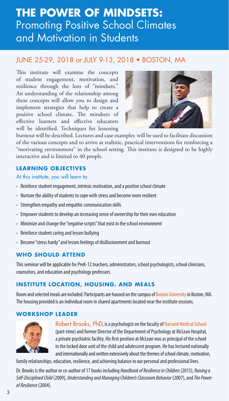## **THE POWER OF MINDSETS:** Promoting Positive School Climates and Motivation in Students

### JUNE 25-29, 2018 or JULY 9-13, 2018 • BOSTON, MA

This institute will examine the concepts of student engagement, motivation, and resilience through the lens of "mindsets." An understanding of the relationship among these concepts will allow you to design and implement strategies that help to create a positive school climate. The mindsets of effective learners and effective educators will be identified. Techniques for lessening



burnout will be described. Lectures and case examples will be used to facilitate discussion of the various concepts and to arrive at realistic, practical interventions for reinforcing a "motivating environment" in the school setting. This institute is designed to be highly interactive and is limited to 40 people.

### **LEARNING OBJECTIVES**

At this institute, you will learn to:

- Reinforce student engagement, intrinsic motivation, and a positive school climate
- Nurture the ability of students to cope with stress and become more resilient
- Strengthen empathy and empathic communication skills
- Empower students to develop an increasing sense of ownership for their own education
- Minimize and change the "negative scripts" that exist in the school environment
- Reinforce student caring and lessen bullying
- Become "stress hardy" and lessen feelings of disillusionment and burnout

### **WHO SHOULD ATTEND**

This seminar will be applicable for PreK-12 teachers, administrators, school psychologists, school clinicians, counselors, and education and psychology professors.

### **INSTITUTE LOCATION, HOUSING, AND MEALS**

Room and selected meals are included. Participants are housed on the campus of Boston University in Boston, MA. The housing provided is an individual room in shared apartments located near the institute sessions.

### **WORKSHOP LEADER**



Robert Brooks, PhD, is a psychologist on the faculty of Harvard Medical School (part-time) and former Director of the Department of Psychology at McLean Hospital, a private psychiatric facility. His first position at McLean was as principal of the school in the locked door unit of the child and adolescent program. He has lectured nationally and internationally and written extensively about the themes of school climate, motivation,

family relationships, education, resilience, and achieving balance in our personal and professional lives.

Dr. Brooks is the author or co-author of 17 books including *Handbook of Resilience in Children* (2013)*, Raising a Self-Disciplined Child* (2009)*, Understanding and Managing Children's Classroom Behavior* (2007),and *The Power of Resilience* (2004).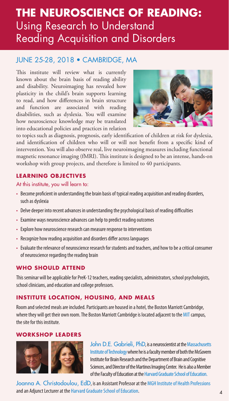## **THE NEUROSCIENCE OF READING:** Using Research to Understand Reading Acquisition and Disorders

### JUNE 25-28, 2018 • CAMBRIDGE, MA

This institute will review what is currently known about the brain basis of reading ability and disability. Neuroimaging has revealed how plasticity in the child's brain supports learning to read, and how differences in brain structure and function are associated with reading disabilities, such as dyslexia. You will examine how neuroscience knowledge may be translated into educational policies and practices in relation



to topics such as diagnosis, prognosis, early identification of children at risk for dyslexia, and identification of children who will or will not benefit from a specific kind of intervention. You will also observe real, live neuroimaging measures including functional magnetic resonance imaging (fMRI). This institute is designed to be an intense, hands-on workshop with group projects, and therefore is limited to 40 participants.

### **LEARNING OBJECTIVES**

At this institute, you will learn to:

- Become proficient in understanding the brain basis of typical reading acquisition and reading disorders, such as dyslexia
- Delve deeper into recent advances in understanding the psychological basis of reading difficulties
- Examine ways neuroscience advances can help to predict reading outcomes
- Explore how neuroscience research can measure response to interventions
- Recognize how reading acquisition and disorders differ across languages
- Evaluate the relevance of neuroscience research for students and teachers, and how to be a critical consumer of neuroscience regarding the reading brain

### **WHO SHOULD ATTEND**

This seminar will be applicable for PreK-12 teachers, reading specialists, administrators, school psychologists, school clinicians, and education and college professors.

### **INSTITUTE LOCATION, HOUSING, AND MEALS**

Room and selected meals are included. Participants are housed in a hotel, the Boston Marriott Cambridge, where they will get their own room. The Boston Marriott Cambridge is located adjacent to the MIT campus, the site for this institute.

### **WORKSHOP LEADERS**



John D.E. Gabrieli, PhD, is a neuroscientist at the Massachusetts Institute of Technology where he is a faculty member of both the McGovern Institute for Brain Research and the Department of Brain and Cognitive Sciences, and Director of the Martinos Imaging Center. He is also a Member of the Faculty of Education at the Harvard Graduate School of Education.

Joanna A. Christodoulou, EdD, is an Assistant Professor at the MGH Institute of Health Professions and an Adjunct Lecturer at the Harvard Graduate School of Education.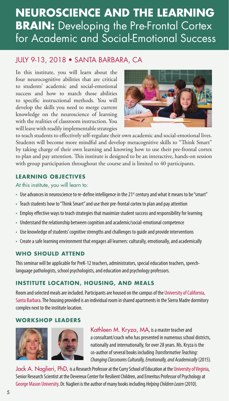## **NEUROSCIENCE AND THE LEARNING BRAIN:** Developing the Pre-Frontal Cortex for Academic and Social-Emotional Success

### JULY 9-13, 2018 • SANTA BARBARA, CA

In this institute, you will learn about the four neurocognitive abilities that are critical to students' academic and social-emotional success and how to match those abilities to specific instructional methods. You will develop the skills you need to merge current knowledge on the neuroscience of learning with the realities of classroom instruction. You will leave with readily implementable strategies



to teach students to effectively self-regulate their own academic and social-emotional lives. Students will become more mindful and develop metacognitive skills to "Think Smart" by taking charge of their own learning and knowing how to use their pre-frontal cortex to plan and pay attention. This institute is designed to be an interactive, hands-on session with group participation throughout the course and is limited to 40 participants.

### **LEARNING OBJECTIVES**

At this institute, you will learn to:

- Use advances in neuroscience to re-define intelligence in the 21<sup>st</sup> century and what it means to be "smart"
- Teach students how to "Think Smart" and use their pre-frontal cortex to plan and pay attention
- Employ effective ways to teach strategies that maximize student success and responsibility for learning
- Understand the relationship between cognition and academic/social-emotional competence
- Use knowledge of students' cognitive strengths and challenges to guide and provide interventions
- Create a safe learning environment that engages all learners: culturally, emotionally, and academically

### **WHO SHOULD ATTEND**

This seminar will be applicable for PreK-12 teachers, administrators, special education teachers, speechlanguage pathologists, school psychologists, and education and psychology professors.

### **INSTITUTE LOCATION, HOUSING, AND MEALS**

Room and selected meals are included. Participants are housed on the campus of the University of California, Santa Barbara. The housing provided is an individual room in shared apartments in the Sierra Madre dormitory complex next to the institute location.

### **WORKSHOP LEADERS**



Kathleen M. Kryza, MA, is a master teacher and a consultant/coach who has presented in numerous school districts, nationally and internationally, for over 28 years. Ms. Kryza is the co-author of several books including *Transformative Teaching: Changing Classrooms Culturally, Emotionally, and Academically* (2015)*.*

Jack A. Naglieri, PhD, is a Research Professor at the Curry School of Education at the University of Virginia, Senior Research Scientist at the Devereux Center for Resilient Children, and Emeritus Professor of Psychology at George Mason University. Dr. Naglieri is the author of many books including *Helping Children Learn* (2010).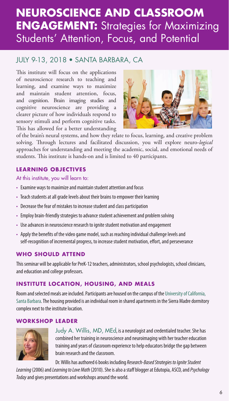## **NEUROSCIENCE AND CLASSROOM ENGAGEMENT:** Strategies for Maximizing Students' Attention, Focus, and Potential

### JULY 9-13, 2018 • SANTA BARBARA, CA

This institute will focus on the applications of neuroscience research to teaching and learning, and examine ways to maximize and maintain student attention, focus, and cognition. Brain imaging studies and cognitive neuroscience are providing a clearer picture of how individuals respond to sensory stimuli and perform cognitive tasks. This has allowed for a better understanding



of the brain's neural systems, and how they relate to focus, learning, and creative problem solving. Through lectures and facilitated discussion, you will explore neuro-*logical* approaches for understanding and meeting the academic, social, and emotional needs of students. This institute is hands-on and is limited to 40 participants.

### **LEARNING OBJECTIVES**

At this institute, you will learn to:

- Examine ways to maximize and maintain student attention and focus
- Teach students at all grade levels about their brains to empower their learning
- Decrease the fear of mistakes to increase student and class participation
- Employ brain-friendly strategies to advance student achievement and problem solving
- Use advances in neuroscience research to ignite student motivation and engagement
- Apply the benefits of the video game model, such as reaching individual challenge levels and self-recognition of incremental progress, to increase student motivation, effort, and perseverance

### **WHO SHOULD ATTEND**

This seminar will be applicable for PreK-12 teachers, administrators, school psychologists, school clinicians, and education and college professors.

### **INSTITUTE LOCATION, HOUSING, AND MEALS**

Room and selected meals are included. Participants are housed on the campus of the University of California, Santa Barbara. The housing provided is an individual room in shared apartments in the Sierra Madre dormitory complex next to the institute location.

### **WORKSHOP LEADER**



Judy A. Willis, MD, MEd, is a neurologist and credentialed teacher. She has combined her training in neuroscience and neuroimaging with her teacher education training and years of classroom experience to help educators bridge the gap between brain research and the classroom.

Dr. Willis has authored 6 books including *Research-Based Strategies to Ignite Student* 

*Learning* (2006)and *Learning to Love Math* (2010). She is also a staff blogger at Edutopia, ASCD, and *Psychology Today* and gives presentations and workshops around the world.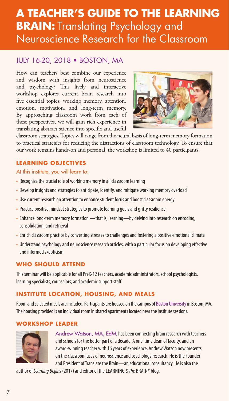## **A TEACHER'S GUIDE TO THE LEARNING BRAIN:** Translating Psychology and Neuroscience Research for the Classroom

### JULY 16-20, 2018 • BOSTON, MA

How can teachers best combine our experience and wisdom with insights from neuroscience and psychology? This lively and interactive workshop explores current brain research into five essential topics: working memory, attention, emotion, motivation, and long-term memory. By approaching classroom work from each of these perspectives, we will gain rich experience in translating abstract science into specific and useful



classroom strategies. Topics will range from the neural basis of long-term memory formation to practical strategies for reducing the distractions of classroom technology. To ensure that our work remains hands-on and personal, the workshop is limited to 40 participants.

### **LEARNING OBJECTIVES**

### At this institute, you will learn to:

- Recognize the crucial role of working memory in all classroom learning
- Develop insights and strategies to anticipate, identify, and mitigate working memory overload
- Use current research on attention to enhance student focus and boost classroom energy
- Practice positive mindset strategies to promote learning goals and gritty resilience
- Enhance long-term memory formation that is, learning-by delving into research on encoding, consolidation, and retrieval
- Enrich classroom practice by converting stresses to challenges and fostering a positive emotional climate
- Understand psychology and neuroscience research articles, with a particular focus on developing effective and informed skepticism

### **WHO SHOULD ATTEND**

This seminar will be applicable for all PreK-12 teachers, academic administrators, school psychologists, learning specialists, counselors, and academic support staff.

### **INSTITUTE LOCATION, HOUSING, AND MEALS**

Room and selected meals are included. Participants are housed on the campus of Boston University in Boston, MA. The housing provided is an individual room in shared apartments located near the institute sessions.

### **WORKSHOP LEADER**



Andrew Watson, MA, EdM, has been connecting brain research with teachers and schools for the better part of a decade. A one-time dean of faculty, and an award-winning teacher with 16 years of experience, Andrew Watson now presents on the classroom uses of neuroscience and psychology research. He is the Founder and President of Translate the Brain—an educational consultancy. He is also the

author of *Learning Begins* (2017) and editor of the LEARNING *& the* BRAIN® blog.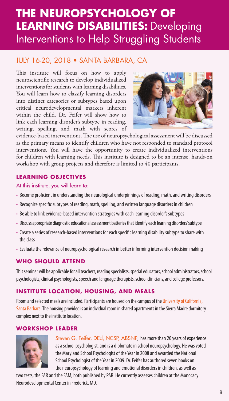# **THE NEUROPSYCHOLOGY OF LEARNING DISABILITIES:** Developing Interventions to Help Struggling Students

### JULY 16-20, 2018 • SANTA BARBARA, CA

This institute will focus on how to apply neuroscientific research to develop individualized interventions for students with learning disabilities. You will learn how to classify learning disorders into distinct categories or subtypes based upon critical neurodevelopmental markers inherent within the child. Dr. Feifer will show how to link each learning disorder's subtype in reading, writing, spelling, and math with scores of



evidence-based interventions. The use of neuropsychological assessment will be discussed as the primary means to identify children who have not responded to standard protocol interventions. You will have the opportunity to create individualized interventions for children with learning needs. This institute is designed to be an intense, hands-on workshop with group projects and therefore is limited to 40 participants.

### **LEARNING OBJECTIVES**

At this institute, you will learn to:

- Become proficient in understanding the neurological underpinnings of reading, math, and writing disorders
- Recognize specific subtypes of reading, math, spelling, and written language disorders in children
- Be able to link evidence-based intervention strategies with each learning disorder's subtypes
- Discuss appropriate diagnostic educational assessment batteries that identify each learning disorders' subtype
- Create a series of research-based interventions for each specific learning disability subtype to share with the class
- Evaluate the relevance of neuropsychological research in better informing intervention decision making

### **WHO SHOULD ATTEND**

This seminar will be applicable for all teachers, reading specialists, special educators, school administrators, school psychologists, clinical psychologists, speech and language therapists, school clinicians, and college professors.

### **INSTITUTE LOCATION, HOUSING, AND MEALS**

Room and selected meals are included. Participants are housed on the campus of the University of California, Santa Barbara. The housing provided is an individual room in shared apartments in the Sierra Madre dormitory complex next to the institute location.

### **WORKSHOP LEADER**



Steven G. Feifer, DEd, NCSP, ABSNP, has more than 20 years of experience as a school psychologist, and is a diplomate in school neuropsychology. He was voted the Maryland School Psychologist of the Year in 2008 and awarded the National School Psychologist of the Year in 2009. Dr. Feifer has authored seven books on the neuropsychology of learning and emotional disorders in children, as well as

two tests, the FAR and the FAM, both published by PAR. He currently assesses children at the Monocacy Neurodevelopmental Center in Frederick, MD.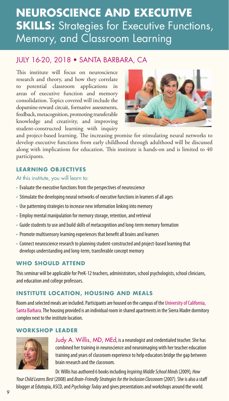## **NEUROSCIENCE AND EXECUTIVE SKILLS:** Strategies for Executive Functions, Memory, and Classroom Learning

### JULY 16-20, 2018 • SANTA BARBARA, CA

This institute will focus on neuroscience research and theory, and how they correlate to potential classroom applications in areas of executive function and memory consolidation. Topics covered will include the dopamine-reward circuit, formative assessments, feedback, metacognition, promoting transferable knowledge and creativity, and improving student-constructed learning with inquiry



and project-based learning. The increasing promise for stimulating neural networks to develop executive functions from early childhood through adulthood will be discussed along with implications for education. This institute is hands-on and is limited to 40 participants.

### **LEARNING OBJECTIVES**

At this institute, you will learn to:

- Evaluate the executive functions from the perspectives of neuroscience
- Stimulate the developing neural networks of executive functions in learners of all ages
- Use patterning strategies to increase new information linking into memory
- Employ mental manipulation for memory storage, retention, and retrieval
- Guide students to use and build skills of metacognition and long-term memory formation
- Promote multisensory learning experiences that benefit all brains and learners
- Connect neuroscience research to planning student-constructed and project-based learning that develops understanding and long-term, transferable concept memory

### **WHO SHOULD ATTEND**

This seminar will be applicable for PreK-12 teachers, administrators, school psychologists, school clinicians, and education and college professors.

### **INSTITUTE LOCATION, HOUSING AND MEALS**

Room and selected meals are included. Participants are housed on the campus of the University of California, Santa Barbara. The housing provided is an individual room in shared apartments in the Sierra Madre dormitory complex next to the institute location.

### **WORKSHOP LEADER**



Judy A. Willis, MD, MEd, is a neurologist and credentialed teacher. She has combined her training in neuroscience and neuroimaging with her teacher education training and years of classroom experience to help educators bridge the gap between brain research and the classroom.

Dr. Willis has authored 6 books including *Inspiring Middle School Minds* (2009)*, How*  Your Child Learns Best (2008) and *Brain-Friendly Strategies for the Inclusion Classroom* (2007). She is also a staff blogger at Edutopia, ASCD, and *Psychology Today* and gives presentations and workshops around the world.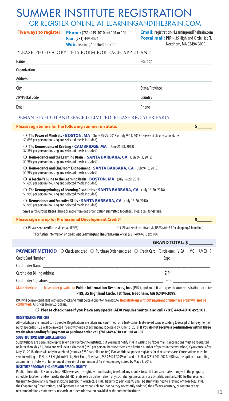# SUMMER INSTITUTE REGISTRATION

### OR REGISTER ONLINE AT LEARNINGANDTHEBRAIN.COM

**Fax:** (781) 449-4024 **Web:** LearningAndTheBrain.com

**Phone:** (781) 449-4010 ext.101 or 102 **Five ways to register: Email:** registration@LearningAndTheBrain.com **Postal mail: PIRI** • 35 Highland Circle, 1st Fl. Needham, MA 02494-3099

### PLEASE PHOTOCOPY THIS FORM FOR EACH APPLICANT.

| Name                                                        | Position       |
|-------------------------------------------------------------|----------------|
| Organization                                                |                |
| Address                                                     |                |
| City                                                        | State/Province |
| <b>ZIP/Postal Code</b>                                      | Country        |
| Email                                                       | Phone          |
| DEMAND IS HIGH AND SPACE IS LIMITED. PLEASE REGISTER EARLY. |                |

### **Please register me for the following summer institute:** m **The Power of Mindsets - BOSTON, MA** (June 25-29, 2018 or July 9-13, 2018 - Please circle one set of dates) \$1,695 per person (housing and selected meals included) m **The Neuroscience of Reading - CAMBRIDGE, MA** (June 25-28, 2018) \$2,195 per person (housing and selected meals included) m **Neuroscience and the Learning Brain - SANTA BARBARA, CA** (July 9-13, 2018) \$1,995 per person (housing and selected meals included) m **Neuroscience and Classroom Engagement - SANTA BARBARA, CA** (July 9-13, 2018) \$1,995 per person (housing and selected meals included) m **A Teacher's Guide to the Learning Brain - BOSTON, MA** (July 16-20, 2018) \$1,695 per person (housing and selected meals included) m **The Neuropsychology of Learning Disabilities - SANTA BARBARA, CA** (July 16-20, 2018) \$1,995 per person (housing and selected meals included) m **Neuroscience and Executive Skills - SANTA BARBARA, CA** (July 16-20, 2018) \$1,995 per person (housing and selected meals included) **Save with Group Rates** (Three or more from one organization submitted together). Please call for details. **Please sign me up for Professional Development Credit\*** O Please send certificate via email (FREE). m Please send certificate via USPS (Add \$5 for shipping & handling). \* For further information on credit, visit **LearningAndTheBrain.com**, or call (781) 449-4010 ext. 104. **PAYMENT METHOD**  $\bigcirc$  Check enclosed  $\bigcirc$  Purchase Order enclosed  $\bigcirc$  Credit Card (Circle one: VISA MC AMEX ) Credit Card Number: \_\_\_\_\_\_\_\_\_\_\_\_\_\_\_\_\_\_\_\_\_\_\_\_\_\_\_\_\_\_\_\_\_\_\_\_\_\_\_\_\_\_\_\_\_\_\_\_ Exp: \_\_\_\_\_\_\_\_\_\_\_\_\_\_\_\_\_ Cardholder Name: **\$\_\_\_\_\_\_**  $\mathsf{S}$ **GRAND TOTAL: \$ \_\_\_\_\_\_\_\_\_\_**

| <b><i>Cardholder</i></b><br>יוח     | 71   |
|-------------------------------------|------|
| Cardholder<br><b>NODATURE</b><br>-u | Date |

Make check or purchase order payable to **Public Information Resources, Inc.** (PIRI), and mail it along with your registration form to: **PIRI, 35 Highland Circle, 1st floor, Needham, MA 02494-3099.** 

P.O.s will be invoiced if sent without a check and must be paid prior to the institute. **Registrations without payment or purchase order will not be confirmed.**All prices are in U.S. dollars.

m **Please check here if you have any special ADA requirements, and call (781) 449-4010 ext.101.**

**REGISTRATION POLICIES**

All workshops are limited to 40 people. Registrations are taken and confirmed, on a first-come, first-served basis according to receipt of full payment or purchase order. P.O.s will be invoiced if sent without a check and must be paid by June 15, 2018. **If you do not receive a confirmation within three weeks after sending full payment or purchase order, call (781) 449-4010 ext. 101 or 102.**

### **SUBSTITUTIONS AND CANCELLATIONS**

Substitutions are permissible up to seven days before the institute, but you must notify PIRI in writing by fax or mail. Cancellations must be requested no later than May 31, 2018 and will incur a charge of \$250 per person. Because there are a limited number of spaces in the workshop, if you cancel after May 31, 2018, there will only be a refund (minus a \$250 cancellation fee) if an additional person registers for that same space. Cancellations must be sent in writing to PIRI at: 35 Highland Circle, First Floor, Needham, MA 02494-3099 or faxed to PIRI at (781) 449-4024. PIRI has the option of canceling a summer institute with full refund if there is not a minimum of 15 attendees registered by May 31, 2018.

### **INSTITUTE PROGRAM CHANGES AND RESPONSIBILITY**

Public Information Resources, Inc. (PIRI) reserves the right, without having to refund any monies to participants, to make changes in the program, schedule, location, and/or faculty should PIRI, in its sole discretion, deem any such changes necessary or advisable. Similarly, PIRI further reserves the right to cancel any summer institute entirely, in which case PIRI's liability to participants shall be strictly limited to a refund of those fees. PIRI, the Cooperating Organizations, and Sponsors are not responsible for (nor do they necessarily endorse) the efficacy, accuracy, or content of any recommendations, statements, research, or other information provided at the summer institutes.